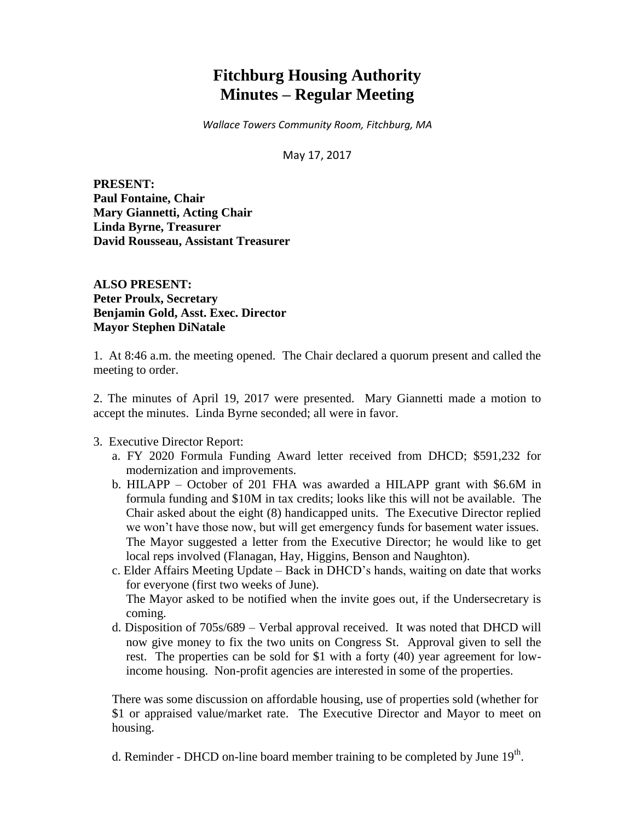# **Fitchburg Housing Authority Minutes – Regular Meeting**

*Wallace Towers Community Room, Fitchburg, MA*

May 17, 2017

**PRESENT: Paul Fontaine, Chair Mary Giannetti, Acting Chair Linda Byrne, Treasurer David Rousseau, Assistant Treasurer**

**ALSO PRESENT: Peter Proulx, Secretary Benjamin Gold, Asst. Exec. Director Mayor Stephen DiNatale**

1. At 8:46 a.m. the meeting opened. The Chair declared a quorum present and called the meeting to order.

2. The minutes of April 19, 2017 were presented. Mary Giannetti made a motion to accept the minutes. Linda Byrne seconded; all were in favor.

3. Executive Director Report:

- a. FY 2020 Formula Funding Award letter received from DHCD; \$591,232 for modernization and improvements.
- b. HILAPP October of 201 FHA was awarded a HILAPP grant with \$6.6M in formula funding and \$10M in tax credits; looks like this will not be available. The Chair asked about the eight (8) handicapped units. The Executive Director replied we won't have those now, but will get emergency funds for basement water issues. The Mayor suggested a letter from the Executive Director; he would like to get local reps involved (Flanagan, Hay, Higgins, Benson and Naughton).
- c. Elder Affairs Meeting Update Back in DHCD's hands, waiting on date that works for everyone (first two weeks of June). The Mayor asked to be notified when the invite goes out, if the Undersecretary is coming.
- d. Disposition of 705s/689 Verbal approval received. It was noted that DHCD will now give money to fix the two units on Congress St. Approval given to sell the rest. The properties can be sold for \$1 with a forty (40) year agreement for lowincome housing. Non-profit agencies are interested in some of the properties.

There was some discussion on affordable housing, use of properties sold (whether for \$1 or appraised value/market rate. The Executive Director and Mayor to meet on housing.

d. Reminder - DHCD on-line board member training to be completed by June  $19<sup>th</sup>$ .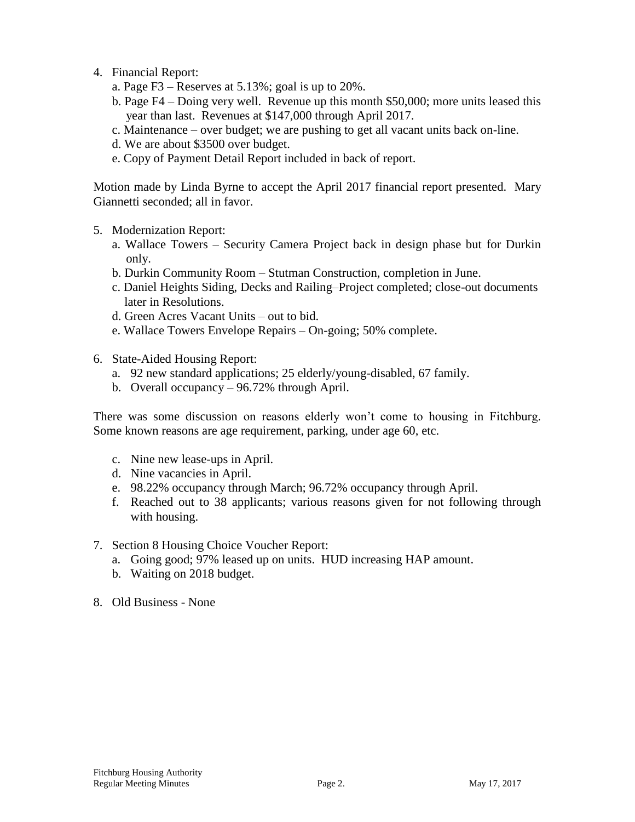- 4. Financial Report:
	- a. Page  $F3$  Reserves at 5.13%; goal is up to 20%.
	- b. Page F4 Doing very well. Revenue up this month \$50,000; more units leased this year than last. Revenues at \$147,000 through April 2017.
	- c. Maintenance over budget; we are pushing to get all vacant units back on-line.
	- d. We are about \$3500 over budget.
	- e. Copy of Payment Detail Report included in back of report.

Motion made by Linda Byrne to accept the April 2017 financial report presented. Mary Giannetti seconded; all in favor.

- 5. Modernization Report:
	- a. Wallace Towers Security Camera Project back in design phase but for Durkin only.
	- b. Durkin Community Room Stutman Construction, completion in June.
	- c. Daniel Heights Siding, Decks and Railing–Project completed; close-out documents later in Resolutions.
	- d. Green Acres Vacant Units out to bid.
	- e. Wallace Towers Envelope Repairs On-going; 50% complete.
- 6. State-Aided Housing Report:
	- a. 92 new standard applications; 25 elderly/young-disabled, 67 family.
	- b. Overall occupancy 96.72% through April.

There was some discussion on reasons elderly won't come to housing in Fitchburg. Some known reasons are age requirement, parking, under age 60, etc.

- c. Nine new lease-ups in April.
- d. Nine vacancies in April.
- e. 98.22% occupancy through March; 96.72% occupancy through April.
- f. Reached out to 38 applicants; various reasons given for not following through with housing.
- 7. Section 8 Housing Choice Voucher Report:
	- a. Going good; 97% leased up on units. HUD increasing HAP amount.
	- b. Waiting on 2018 budget.
- 8. Old Business None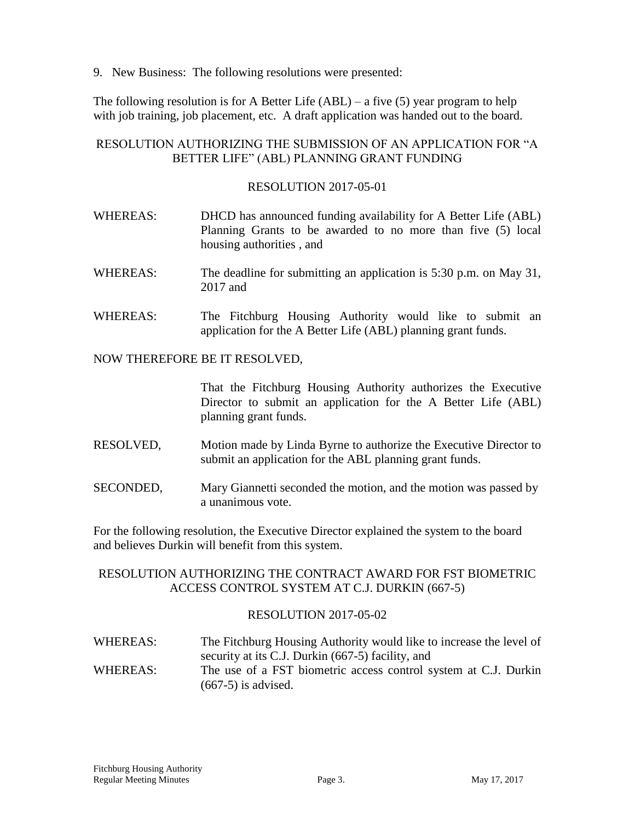9. New Business: The following resolutions were presented:

The following resolution is for A Better Life (ABL) – a five (5) year program to help with job training, job placement, etc. A draft application was handed out to the board.

# RESOLUTION AUTHORIZING THE SUBMISSION OF AN APPLICATION FOR "A BETTER LIFE" (ABL) PLANNING GRANT FUNDING

## RESOLUTION 2017-05-01

- WHEREAS: DHCD has announced funding availability for A Better Life (ABL) Planning Grants to be awarded to no more than five (5) local housing authorities , and
- WHEREAS: The deadline for submitting an application is 5:30 p.m. on May 31, 2017 and
- WHEREAS: The Fitchburg Housing Authority would like to submit an application for the A Better Life (ABL) planning grant funds.

#### NOW THEREFORE BE IT RESOLVED,

That the Fitchburg Housing Authority authorizes the Executive Director to submit an application for the A Better Life (ABL) planning grant funds.

- RESOLVED, Motion made by Linda Byrne to authorize the Executive Director to submit an application for the ABL planning grant funds.
- SECONDED, Mary Giannetti seconded the motion, and the motion was passed by a unanimous vote.

For the following resolution, the Executive Director explained the system to the board and believes Durkin will benefit from this system.

# RESOLUTION AUTHORIZING THE CONTRACT AWARD FOR FST BIOMETRIC ACCESS CONTROL SYSTEM AT C.J. DURKIN (667-5)

## RESOLUTION 2017-05-02

WHEREAS: The Fitchburg Housing Authority would like to increase the level of security at its C.J. Durkin (667-5) facility, and WHEREAS: The use of a FST biometric access control system at C.J. Durkin (667-5) is advised.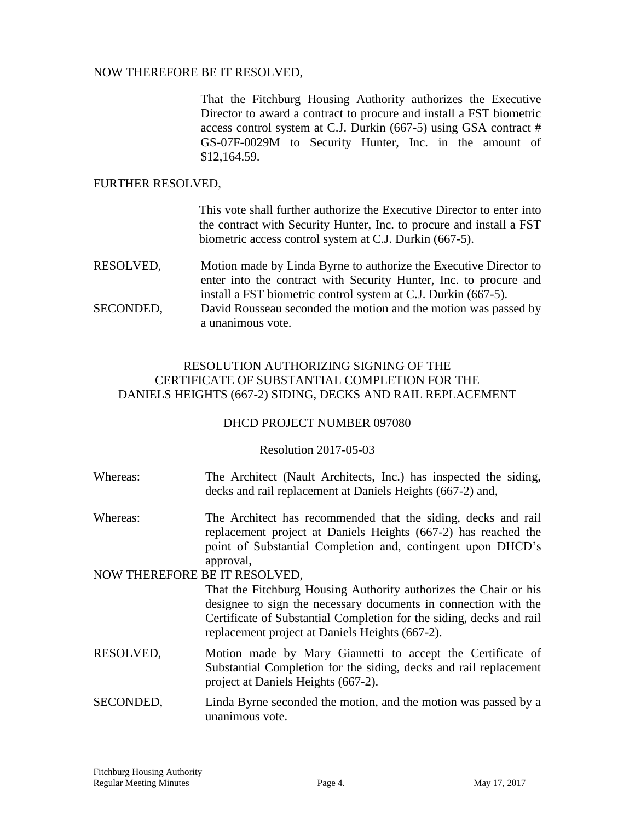## NOW THEREFORE BE IT RESOLVED,

That the Fitchburg Housing Authority authorizes the Executive Director to award a contract to procure and install a FST biometric access control system at C.J. Durkin (667-5) using GSA contract # GS-07F-0029M to Security Hunter, Inc. in the amount of \$12,164.59.

## FURTHER RESOLVED,

This vote shall further authorize the Executive Director to enter into the contract with Security Hunter, Inc. to procure and install a FST biometric access control system at C.J. Durkin (667-5).

RESOLVED, Motion made by Linda Byrne to authorize the Executive Director to enter into the contract with Security Hunter, Inc. to procure and install a FST biometric control system at C.J. Durkin (667-5). SECONDED, David Rousseau seconded the motion and the motion was passed by

a unanimous vote.

## RESOLUTION AUTHORIZING SIGNING OF THE CERTIFICATE OF SUBSTANTIAL COMPLETION FOR THE DANIELS HEIGHTS (667-2) SIDING, DECKS AND RAIL REPLACEMENT

## DHCD PROJECT NUMBER 097080

## Resolution 2017-05-03

- Whereas: The Architect (Nault Architects, Inc.) has inspected the siding, decks and rail replacement at Daniels Heights (667-2) and,
- Whereas: The Architect has recommended that the siding, decks and rail replacement project at Daniels Heights (667-2) has reached the point of Substantial Completion and, contingent upon DHCD's approval,

## NOW THEREFORE BE IT RESOLVED,

That the Fitchburg Housing Authority authorizes the Chair or his designee to sign the necessary documents in connection with the Certificate of Substantial Completion for the siding, decks and rail replacement project at Daniels Heights (667-2).

- RESOLVED, Motion made by Mary Giannetti to accept the Certificate of Substantial Completion for the siding, decks and rail replacement project at Daniels Heights (667-2).
- SECONDED, Linda Byrne seconded the motion, and the motion was passed by a unanimous vote.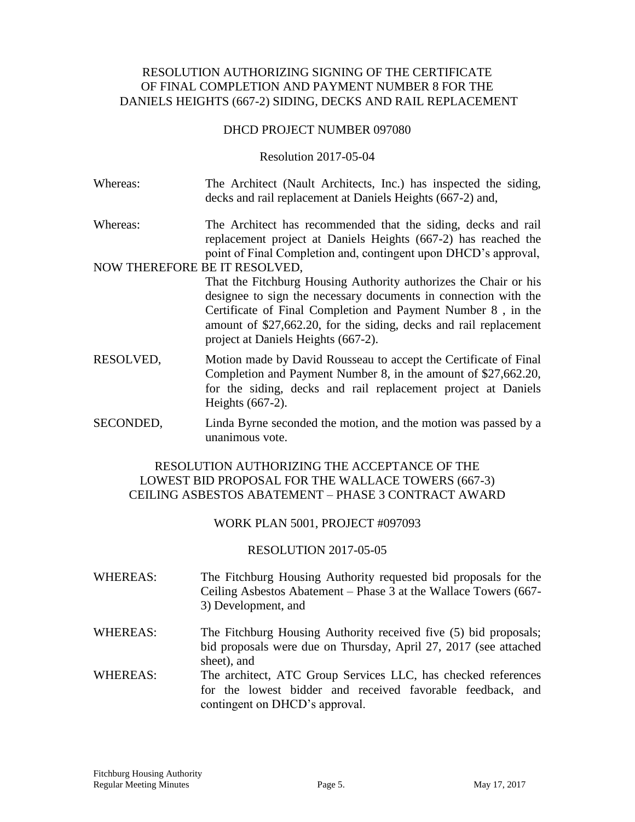## RESOLUTION AUTHORIZING SIGNING OF THE CERTIFICATE OF FINAL COMPLETION AND PAYMENT NUMBER 8 FOR THE DANIELS HEIGHTS (667-2) SIDING, DECKS AND RAIL REPLACEMENT

#### DHCD PROJECT NUMBER 097080

#### Resolution 2017-05-04

- Whereas: The Architect (Nault Architects, Inc.) has inspected the siding, decks and rail replacement at Daniels Heights (667-2) and,
- Whereas: The Architect has recommended that the siding, decks and rail replacement project at Daniels Heights (667-2) has reached the point of Final Completion and, contingent upon DHCD's approval,

#### NOW THEREFORE BE IT RESOLVED,

- That the Fitchburg Housing Authority authorizes the Chair or his designee to sign the necessary documents in connection with the Certificate of Final Completion and Payment Number 8 , in the amount of \$27,662.20, for the siding, decks and rail replacement project at Daniels Heights (667-2).
- RESOLVED, Motion made by David Rousseau to accept the Certificate of Final Completion and Payment Number 8, in the amount of \$27,662.20, for the siding, decks and rail replacement project at Daniels Heights (667-2).
- SECONDED, Linda Byrne seconded the motion, and the motion was passed by a unanimous vote.

## RESOLUTION AUTHORIZING THE ACCEPTANCE OF THE LOWEST BID PROPOSAL FOR THE WALLACE TOWERS (667-3) CEILING ASBESTOS ABATEMENT – PHASE 3 CONTRACT AWARD

## WORK PLAN 5001, PROJECT #097093

#### RESOLUTION 2017-05-05

- WHEREAS: The Fitchburg Housing Authority requested bid proposals for the Ceiling Asbestos Abatement – Phase 3 at the Wallace Towers (667- 3) Development, and
- WHEREAS: The Fitchburg Housing Authority received five (5) bid proposals; bid proposals were due on Thursday, April 27, 2017 (see attached sheet), and
- WHEREAS: The architect, ATC Group Services LLC, has checked references for the lowest bidder and received favorable feedback, and contingent on DHCD's approval.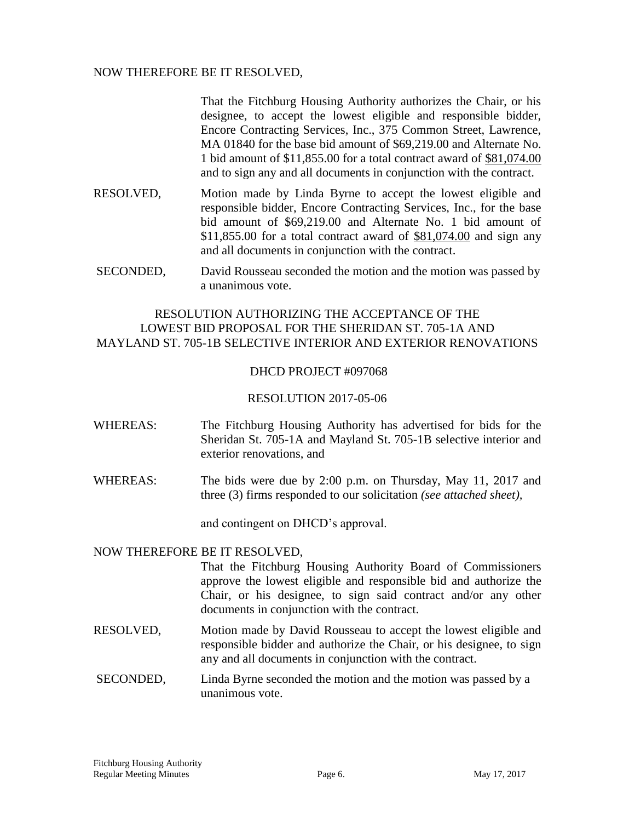## NOW THEREFORE BE IT RESOLVED,

That the Fitchburg Housing Authority authorizes the Chair, or his designee, to accept the lowest eligible and responsible bidder, Encore Contracting Services, Inc., 375 Common Street, Lawrence, MA 01840 for the base bid amount of \$69,219.00 and Alternate No. 1 bid amount of \$11,855.00 for a total contract award of \$81,074.00 and to sign any and all documents in conjunction with the contract.

- RESOLVED, Motion made by Linda Byrne to accept the lowest eligible and responsible bidder, Encore Contracting Services, Inc., for the base bid amount of \$69,219.00 and Alternate No. 1 bid amount of \$11,855.00 for a total contract award of \$81,074.00 and sign any and all documents in conjunction with the contract.
- SECONDED, David Rousseau seconded the motion and the motion was passed by a unanimous vote.

## RESOLUTION AUTHORIZING THE ACCEPTANCE OF THE LOWEST BID PROPOSAL FOR THE SHERIDAN ST. 705-1A AND MAYLAND ST. 705-1B SELECTIVE INTERIOR AND EXTERIOR RENOVATIONS

#### DHCD PROJECT #097068

#### RESOLUTION 2017-05-06

- WHEREAS: The Fitchburg Housing Authority has advertised for bids for the Sheridan St. 705-1A and Mayland St. 705-1B selective interior and exterior renovations, and
- WHEREAS: The bids were due by 2:00 p.m. on Thursday, May 11, 2017 and three (3) firms responded to our solicitation *(see attached sheet),*

and contingent on DHCD's approval.

#### NOW THEREFORE BE IT RESOLVED,

That the Fitchburg Housing Authority Board of Commissioners approve the lowest eligible and responsible bid and authorize the Chair, or his designee, to sign said contract and/or any other documents in conjunction with the contract.

- RESOLVED, Motion made by David Rousseau to accept the lowest eligible and responsible bidder and authorize the Chair, or his designee, to sign any and all documents in conjunction with the contract.
- SECONDED, Linda Byrne seconded the motion and the motion was passed by a unanimous vote.